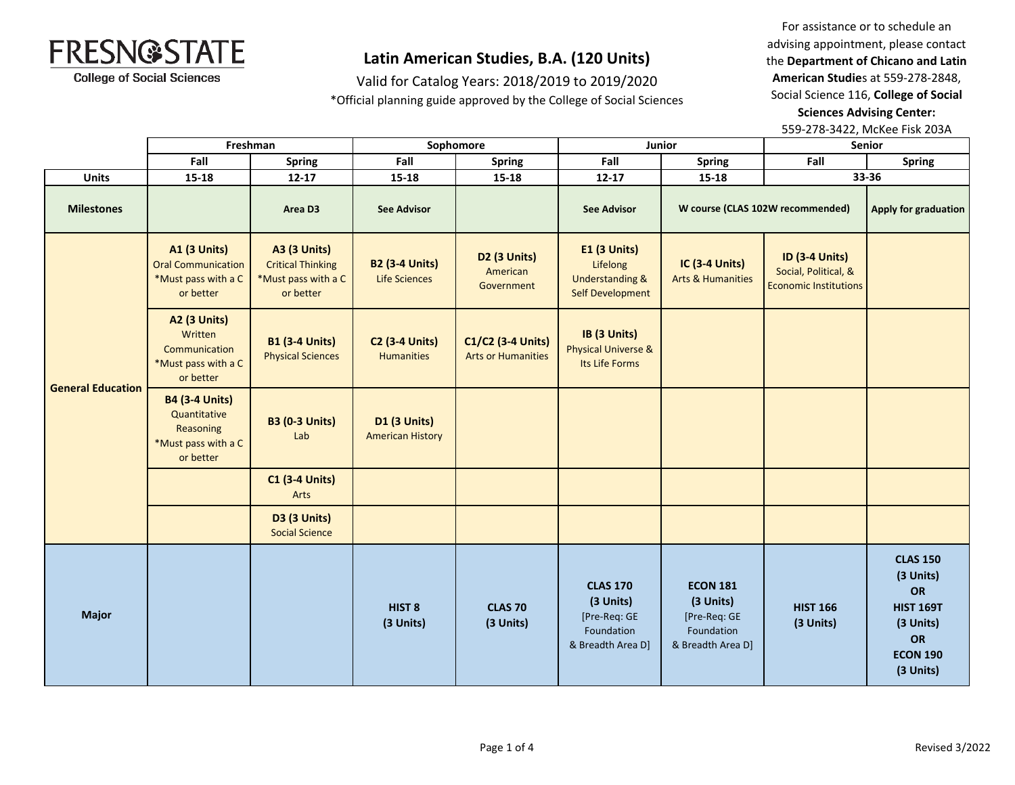

## **Latin American Studies, B.A. (120 Units)**

Valid for Catalog Years: 2018/2019 to 2019/2020 \*Official planning guide approved by the College of Social Sciences

For assistance or to schedule an advising appointment, please contact the **Department of Chicano and Latin American Studie**s at 559-278-2848, Social Science 116, **College of Social Sciences Advising Center:**  559-278-3422, McKee Fisk 203A

|                          | Freshman                                                                               |                                                                                     | Sophomore                                      |                                                    | Junior                                                                                   |                                                                                 | Senior                                                                        |                                                                                                           |
|--------------------------|----------------------------------------------------------------------------------------|-------------------------------------------------------------------------------------|------------------------------------------------|----------------------------------------------------|------------------------------------------------------------------------------------------|---------------------------------------------------------------------------------|-------------------------------------------------------------------------------|-----------------------------------------------------------------------------------------------------------|
|                          | Fall                                                                                   | Spring                                                                              | Fall                                           | <b>Spring</b>                                      | Fall                                                                                     | <b>Spring</b>                                                                   | Fall                                                                          | <b>Spring</b>                                                                                             |
| <b>Units</b>             | $15 - 18$                                                                              | $12 - 17$                                                                           | 15-18                                          | 15-18                                              | $12 - 17$                                                                                | $15 - 18$                                                                       |                                                                               | 33-36                                                                                                     |
| <b>Milestones</b>        |                                                                                        | Area D3                                                                             | <b>See Advisor</b>                             |                                                    | <b>See Advisor</b>                                                                       |                                                                                 | W course (CLAS 102W recommended)                                              | Apply for graduation                                                                                      |
| <b>General Education</b> | <b>A1 (3 Units)</b><br><b>Oral Communication</b><br>*Must pass with a C<br>or better   | <b>A3 (3 Units)</b><br><b>Critical Thinking</b><br>*Must pass with a C<br>or better | <b>B2 (3-4 Units)</b><br><b>Life Sciences</b>  | D <sub>2</sub> (3 Units)<br>American<br>Government | <b>E1 (3 Units)</b><br>Lifelong<br><b>Understanding &amp;</b><br><b>Self Development</b> | IC (3-4 Units)<br><b>Arts &amp; Humanities</b>                                  | <b>ID (3-4 Units)</b><br>Social, Political, &<br><b>Economic Institutions</b> |                                                                                                           |
|                          | <b>A2 (3 Units)</b><br>Written<br>Communication<br>*Must pass with a C<br>or better    | <b>B1 (3-4 Units)</b><br><b>Physical Sciences</b>                                   | <b>C2 (3-4 Units)</b><br><b>Humanities</b>     | C1/C2 (3-4 Units)<br><b>Arts or Humanities</b>     | IB (3 Units)<br><b>Physical Universe &amp;</b><br>Its Life Forms                         |                                                                                 |                                                                               |                                                                                                           |
|                          | <b>B4 (3-4 Units)</b><br>Quantitative<br>Reasoning<br>*Must pass with a C<br>or better | <b>B3 (0-3 Units)</b><br>Lab                                                        | <b>D1 (3 Units)</b><br><b>American History</b> |                                                    |                                                                                          |                                                                                 |                                                                               |                                                                                                           |
|                          |                                                                                        | <b>C1 (3-4 Units)</b><br><b>Arts</b>                                                |                                                |                                                    |                                                                                          |                                                                                 |                                                                               |                                                                                                           |
|                          |                                                                                        | <b>D3 (3 Units)</b><br><b>Social Science</b>                                        |                                                |                                                    |                                                                                          |                                                                                 |                                                                               |                                                                                                           |
| <b>Major</b>             |                                                                                        |                                                                                     | HIST <sub>8</sub><br>(3 Units)                 | <b>CLAS 70</b><br>(3 Units)                        | <b>CLAS 170</b><br>(3 Units)<br>[Pre-Req: GE<br>Foundation<br>& Breadth Area D]          | <b>ECON 181</b><br>(3 Units)<br>[Pre-Req: GE<br>Foundation<br>& Breadth Area D] | <b>HIST 166</b><br>(3 Units)                                                  | <b>CLAS 150</b><br>(3 Units)<br>OR<br><b>HIST 169T</b><br>(3 Units)<br>OR<br><b>ECON 190</b><br>(3 Units) |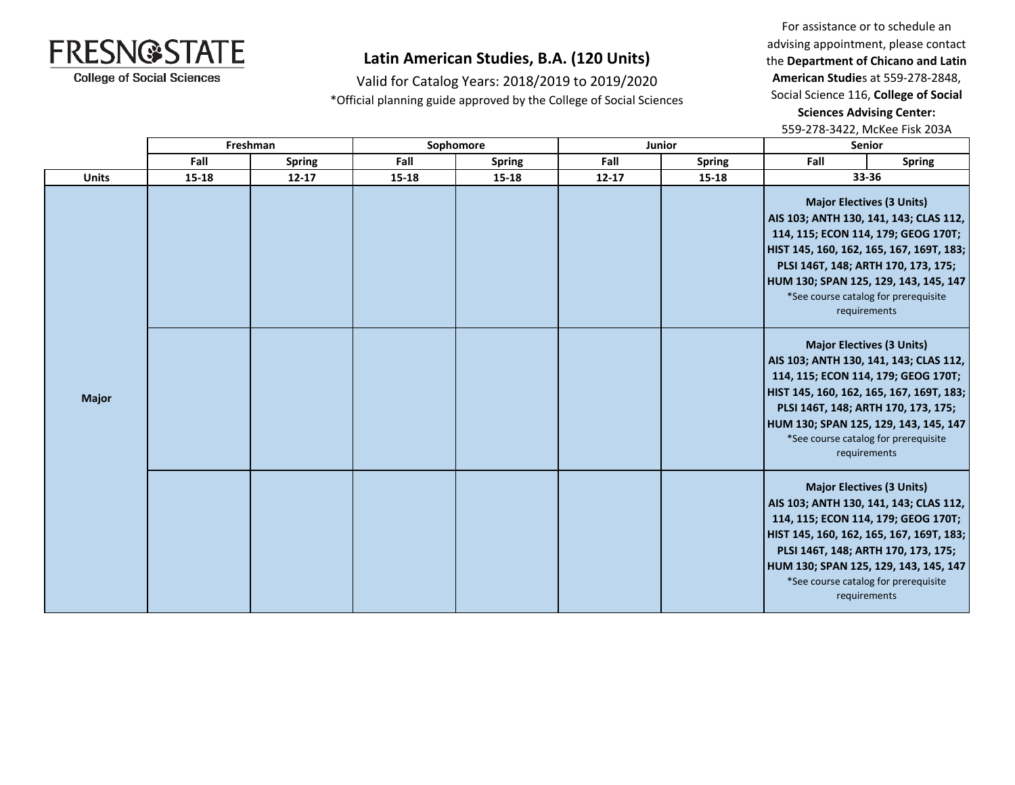

## **Latin American Studies, B.A. (120 Units)**

Valid for Catalog Years: 2018/2019 to 2019/2020 \*Official planning guide approved by the College of Social Sciences

For assistance or to schedule an advising appointment, please contact the **Department of Chicano and Latin American Studie**s at 559-278-2848, Social Science 116, **College of Social Sciences Advising Center:**  559-278-3422, McKee Fisk 203A

|              |           | Freshman      |       | Sophomore     |           | Junior        | <b>Senior</b>                                                                                                                                                                                                                                                                                         |                                                                                                                                                                                                                                                                                                       |  |
|--------------|-----------|---------------|-------|---------------|-----------|---------------|-------------------------------------------------------------------------------------------------------------------------------------------------------------------------------------------------------------------------------------------------------------------------------------------------------|-------------------------------------------------------------------------------------------------------------------------------------------------------------------------------------------------------------------------------------------------------------------------------------------------------|--|
|              | Fall      | <b>Spring</b> | Fall  | <b>Spring</b> | Fall      | <b>Spring</b> | Fall                                                                                                                                                                                                                                                                                                  | <b>Spring</b>                                                                                                                                                                                                                                                                                         |  |
| <b>Units</b> | $15 - 18$ | $12 - 17$     | 15-18 | 15-18         | $12 - 17$ | 15-18         |                                                                                                                                                                                                                                                                                                       | 33-36                                                                                                                                                                                                                                                                                                 |  |
|              |           |               |       |               |           |               | <b>Major Electives (3 Units)</b><br>AIS 103; ANTH 130, 141, 143; CLAS 112,<br>114, 115; ECON 114, 179; GEOG 170T;<br>HIST 145, 160, 162, 165, 167, 169T, 183;<br>PLSI 146T, 148; ARTH 170, 173, 175;<br>HUM 130; SPAN 125, 129, 143, 145, 147<br>*See course catalog for prerequisite<br>requirements |                                                                                                                                                                                                                                                                                                       |  |
| <b>Major</b> |           |               |       |               |           |               |                                                                                                                                                                                                                                                                                                       | <b>Major Electives (3 Units)</b><br>AIS 103; ANTH 130, 141, 143; CLAS 112,<br>114, 115; ECON 114, 179; GEOG 170T;<br>HIST 145, 160, 162, 165, 167, 169T, 183;<br>PLSI 146T, 148; ARTH 170, 173, 175;<br>HUM 130; SPAN 125, 129, 143, 145, 147<br>*See course catalog for prerequisite<br>requirements |  |
|              |           |               |       |               |           |               |                                                                                                                                                                                                                                                                                                       | <b>Major Electives (3 Units)</b><br>AIS 103; ANTH 130, 141, 143; CLAS 112,<br>114, 115; ECON 114, 179; GEOG 170T;<br>HIST 145, 160, 162, 165, 167, 169T, 183;<br>PLSI 146T, 148; ARTH 170, 173, 175;<br>HUM 130; SPAN 125, 129, 143, 145, 147<br>*See course catalog for prerequisite<br>requirements |  |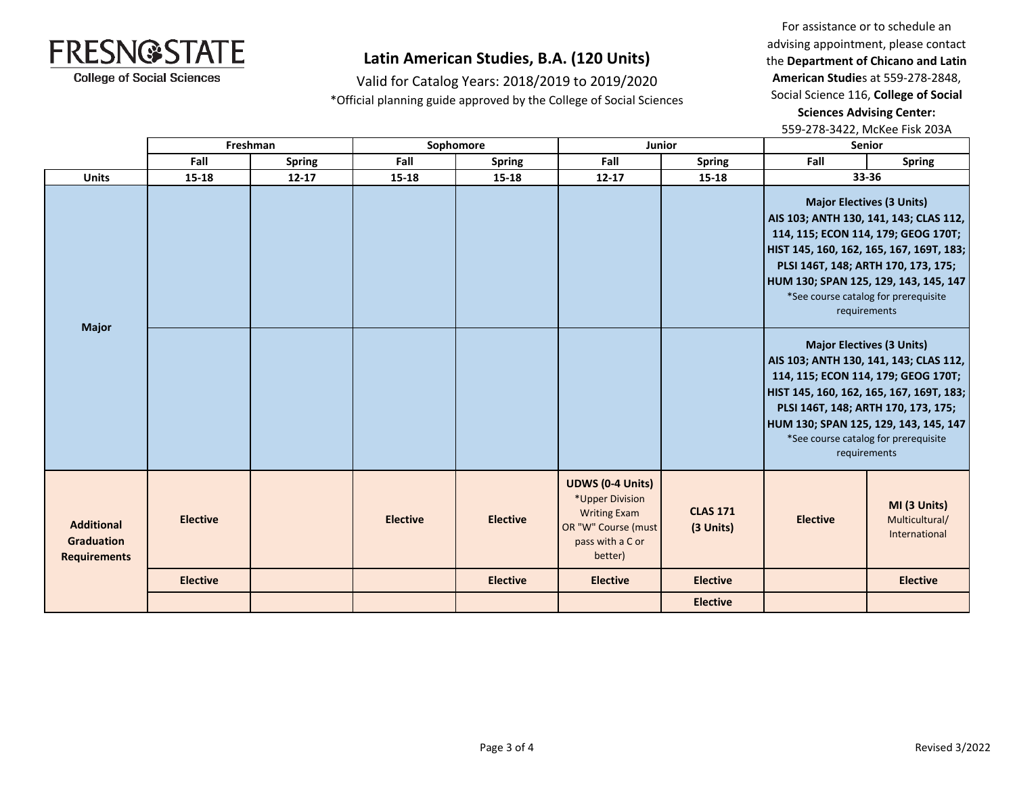

### **Latin American Studies, B.A. (120 Units)**

Valid for Catalog Years: 2018/2019 to 2019/2020 \*Official planning guide approved by the College of Social Sciences

For assistance or to schedule an advising appointment, please contact the **Department of Chicano and Latin American Studie**s at 559-278-2848, Social Science 116, **College of Social Sciences Advising Center:**  559-278-3422, McKee Fisk 203A

|                                                               |                 | Freshman      |                 | Sophomore       | <b>Junior</b>                                                                                                           |                              | <b>Senior</b>                         |                                                                                                                                                                                                                                                                                                       |
|---------------------------------------------------------------|-----------------|---------------|-----------------|-----------------|-------------------------------------------------------------------------------------------------------------------------|------------------------------|---------------------------------------|-------------------------------------------------------------------------------------------------------------------------------------------------------------------------------------------------------------------------------------------------------------------------------------------------------|
|                                                               | Fall            | <b>Spring</b> | Fall            | <b>Spring</b>   | Fall                                                                                                                    | <b>Spring</b>                | Fall                                  | <b>Spring</b>                                                                                                                                                                                                                                                                                         |
| <b>Units</b>                                                  | $15 - 18$       | $12 - 17$     | 15-18           | $15 - 18$       | $12 - 17$                                                                                                               | 15-18                        |                                       | 33-36                                                                                                                                                                                                                                                                                                 |
| <b>Major</b>                                                  |                 |               |                 |                 |                                                                                                                         |                              | HUM 130; SPAN 125, 129, 143, 145, 147 | <b>Major Electives (3 Units)</b><br>AIS 103; ANTH 130, 141, 143; CLAS 112,<br>114, 115; ECON 114, 179; GEOG 170T;<br>HIST 145, 160, 162, 165, 167, 169T, 183;<br>PLSI 146T, 148; ARTH 170, 173, 175;<br>*See course catalog for prerequisite<br>requirements                                          |
|                                                               |                 |               |                 |                 |                                                                                                                         |                              |                                       | <b>Major Electives (3 Units)</b><br>AIS 103; ANTH 130, 141, 143; CLAS 112,<br>114, 115; ECON 114, 179; GEOG 170T;<br>HIST 145, 160, 162, 165, 167, 169T, 183;<br>PLSI 146T, 148; ARTH 170, 173, 175;<br>HUM 130; SPAN 125, 129, 143, 145, 147<br>*See course catalog for prerequisite<br>requirements |
| <b>Additional</b><br><b>Graduation</b><br><b>Requirements</b> | <b>Elective</b> |               | <b>Elective</b> | <b>Elective</b> | <b>UDWS (0-4 Units)</b><br>*Upper Division<br><b>Writing Exam</b><br>OR "W" Course (must<br>pass with a C or<br>better) | <b>CLAS 171</b><br>(3 Units) | <b>Elective</b>                       | MI (3 Units)<br>Multicultural/<br>International                                                                                                                                                                                                                                                       |
|                                                               | <b>Elective</b> |               |                 | <b>Elective</b> | <b>Elective</b>                                                                                                         | <b>Elective</b>              |                                       | <b>Elective</b>                                                                                                                                                                                                                                                                                       |
|                                                               |                 |               |                 |                 |                                                                                                                         | <b>Elective</b>              |                                       |                                                                                                                                                                                                                                                                                                       |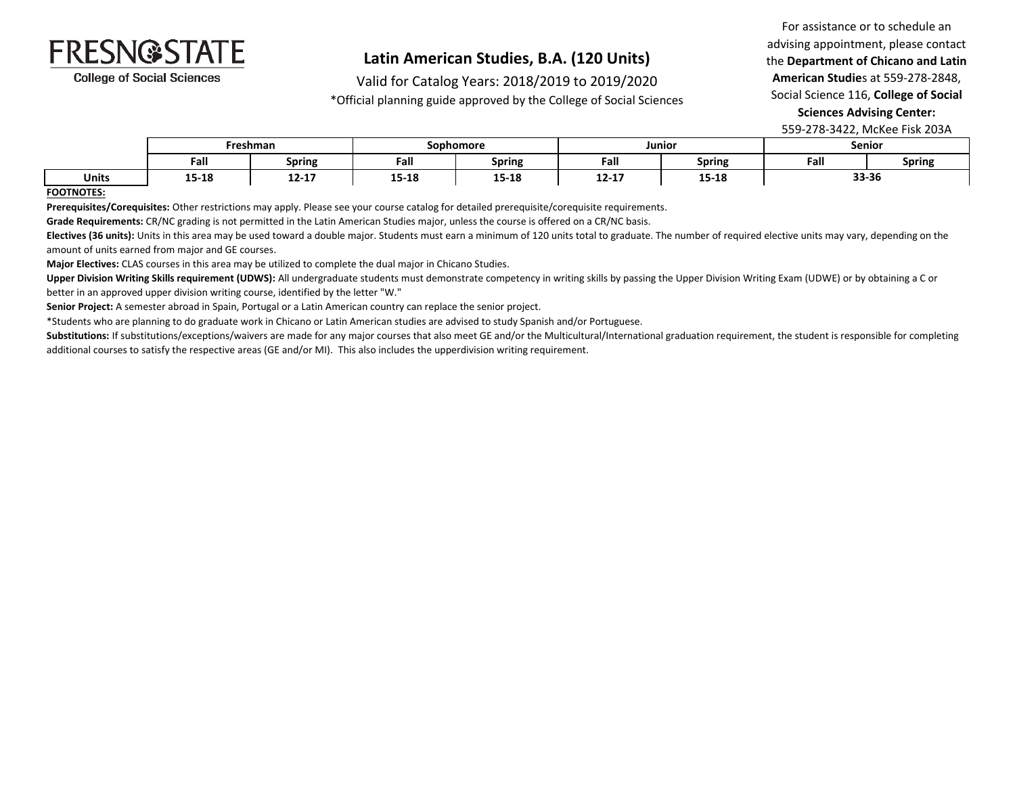

### **Latin American Studies, B.A. (120 Units)**

Valid for Catalog Years: 2018/2019 to 2019/2020

\*Official planning guide approved by the College of Social Sciences

For assistance or to schedule an advising appointment, please contact the **Department of Chicano and Latin American Studie**s at 559-278-2848, Social Science 116, **College of Social Sciences Advising Center:** 

559-278-3422, McKee Fisk 203A

|              | Freshman |                        | Sophomore |        |           | Junior        | Senior |        |
|--------------|----------|------------------------|-----------|--------|-----------|---------------|--------|--------|
|              | Fall     | <b>Spring</b>          | Fall      | Spring | Fall      | <b>Spring</b> | Fall   | Spring |
| <b>Units</b> | 15-18    | . .<br>$\sim$<br>12-17 | 15-18     | 15-18  | $12 - 17$ | 15-18         | 33-36  |        |

#### **FOOTNOTES:**

**Prerequisites/Corequisites:** Other restrictions may apply. Please see your course catalog for detailed prerequisite/corequisite requirements.

**Grade Requirements:** CR/NC grading is not permitted in the Latin American Studies major, unless the course is offered on a CR/NC basis.

Electives (36 units): Units in this area may be used toward a double major. Students must earn a minimum of 120 units total to graduate. The number of required elective units may vary, depending on the amount of units earned from major and GE courses.

**Major Electives:** CLAS courses in this area may be utilized to complete the dual major in Chicano Studies.

Upper Division Writing Skills requirement (UDWS): All undergraduate students must demonstrate competency in writing skills by passing the Upper Division Writing Exam (UDWE) or by obtaining a C or better in an approved upper division writing course, identified by the letter "W."

**Senior Project:** A semester abroad in Spain, Portugal or a Latin American country can replace the senior project.

\*Students who are planning to do graduate work in Chicano or Latin American studies are advised to study Spanish and/or Portuguese.

Substitutions: If substitutions/exceptions/waivers are made for any major courses that also meet GE and/or the Multicultural/International graduation requirement, the student is responsible for completing additional courses to satisfy the respective areas (GE and/or MI). This also includes the upperdivision writing requirement.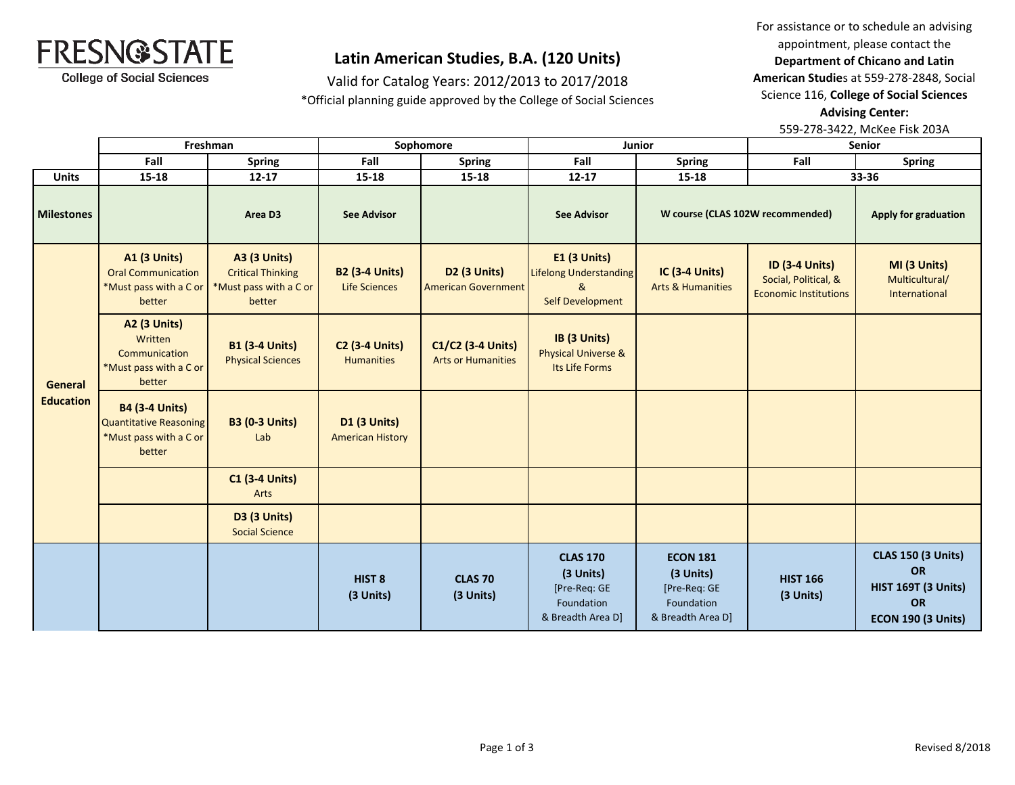

### **Latin American Studies, B.A. (120 Units)**

Valid for Catalog Years: 2012/2013 to 2017/2018

\*Official planning guide approved by the College of Social Sciences

For assistance or to schedule an advising appointment, please contact the **Department of Chicano and Latin American Studie**s at 559-278-2848, Social Science 116, **College of Social Sciences** 

**Advising Center:** 

559-278-3422, McKee Fisk 203A

|                             | Freshman                                                                                   |                                                                                     | Sophomore                                      |                                                   | <b>Junior</b>                                                                   |                                                                                 | <b>Senior</b>                                                                 |                                                                                                         |
|-----------------------------|--------------------------------------------------------------------------------------------|-------------------------------------------------------------------------------------|------------------------------------------------|---------------------------------------------------|---------------------------------------------------------------------------------|---------------------------------------------------------------------------------|-------------------------------------------------------------------------------|---------------------------------------------------------------------------------------------------------|
|                             | Fall                                                                                       | <b>Spring</b>                                                                       | Fall                                           | <b>Spring</b>                                     | Fall                                                                            | <b>Spring</b>                                                                   | Fall                                                                          | <b>Spring</b>                                                                                           |
| <b>Units</b>                | $15 - 18$                                                                                  | $12 - 17$                                                                           | $15 - 18$                                      | 15-18                                             | $12 - 17$                                                                       | 15-18                                                                           |                                                                               | 33-36                                                                                                   |
| <b>Milestones</b>           |                                                                                            | Area D3                                                                             | <b>See Advisor</b>                             |                                                   | <b>See Advisor</b>                                                              | W course (CLAS 102W recommended)                                                |                                                                               | Apply for graduation                                                                                    |
| General<br><b>Education</b> | <b>A1 (3 Units)</b><br><b>Oral Communication</b><br>*Must pass with a C or<br>better       | <b>A3 (3 Units)</b><br><b>Critical Thinking</b><br>*Must pass with a C or<br>better | <b>B2 (3-4 Units)</b><br><b>Life Sciences</b>  | <b>D2 (3 Units)</b><br><b>American Government</b> | <b>E1 (3 Units)</b><br>Lifelong Understanding<br>&<br><b>Self Development</b>   | <b>IC (3-4 Units)</b><br><b>Arts &amp; Humanities</b>                           | <b>ID (3-4 Units)</b><br>Social, Political, &<br><b>Economic Institutions</b> | MI (3 Units)<br>Multicultural/<br>International                                                         |
|                             | <b>A2 (3 Units)</b><br>Written<br>Communication<br>*Must pass with a C or<br>better        | <b>B1 (3-4 Units)</b><br><b>Physical Sciences</b>                                   | <b>C2 (3-4 Units)</b><br><b>Humanities</b>     | C1/C2 (3-4 Units)<br><b>Arts or Humanities</b>    | IB (3 Units)<br><b>Physical Universe &amp;</b><br>Its Life Forms                |                                                                                 |                                                                               |                                                                                                         |
|                             | <b>B4 (3-4 Units)</b><br><b>Quantitative Reasoning</b><br>*Must pass with a C or<br>better | <b>B3 (0-3 Units)</b><br>Lab                                                        | <b>D1 (3 Units)</b><br><b>American History</b> |                                                   |                                                                                 |                                                                                 |                                                                               |                                                                                                         |
|                             |                                                                                            | <b>C1 (3-4 Units)</b><br>Arts                                                       |                                                |                                                   |                                                                                 |                                                                                 |                                                                               |                                                                                                         |
|                             |                                                                                            | <b>D3 (3 Units)</b><br><b>Social Science</b>                                        |                                                |                                                   |                                                                                 |                                                                                 |                                                                               |                                                                                                         |
|                             |                                                                                            |                                                                                     | HIST <sub>8</sub><br>(3 Units)                 | <b>CLAS 70</b><br>(3 Units)                       | <b>CLAS 170</b><br>(3 Units)<br>[Pre-Req: GE<br>Foundation<br>& Breadth Area D] | <b>ECON 181</b><br>(3 Units)<br>[Pre-Req: GE<br>Foundation<br>& Breadth Area D] | <b>HIST 166</b><br>(3 Units)                                                  | <b>CLAS 150 (3 Units)</b><br><b>OR</b><br><b>HIST 169T (3 Units)</b><br>OR<br><b>ECON 190 (3 Units)</b> |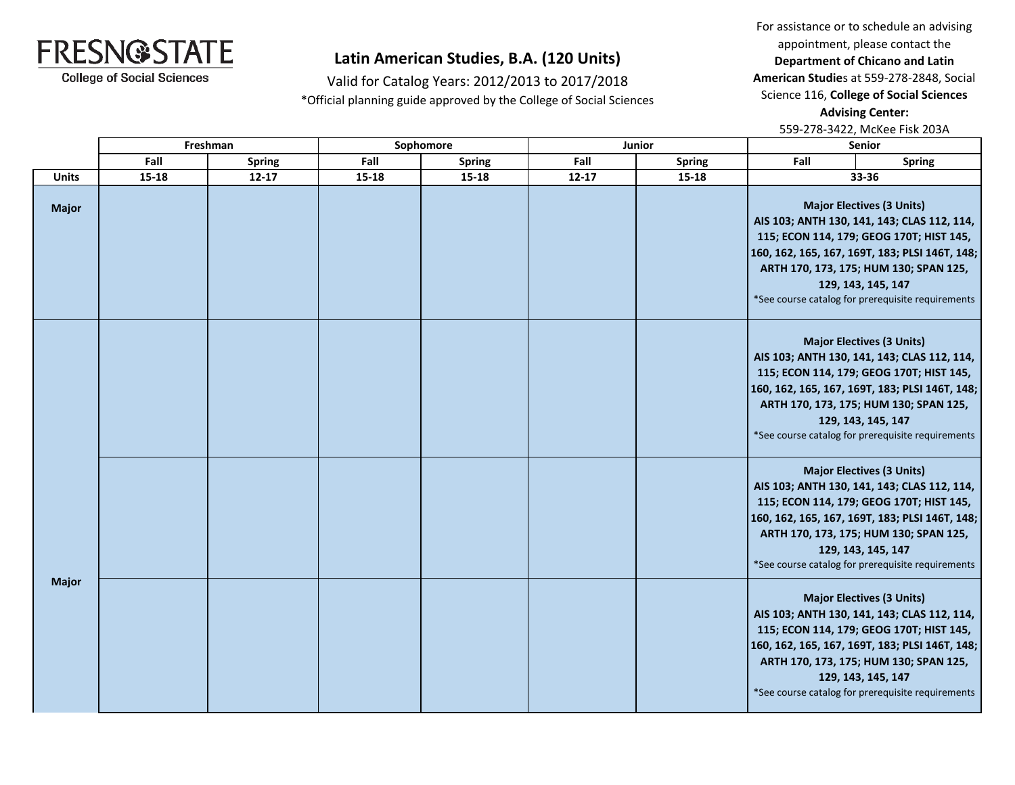For assistance or to schedule an advising appointment, please contact the **Department of Chicano and Latin American Studie**s at 559-278-2848, Social Science 116, **College of Social Sciences** 

**Advising Center:** 

559-278-3422, McKee Fisk 203A

# **Latin American Studies, B.A. (120 Units)**

Valid for Catalog Years: 2012/2013 to 2017/2018 \*Official planning guide approved by the College of Social Sciences

|              |           | Freshman      |       | Sophomore     |           | Junior        | <b>Senior</b> |                                                                                                                                                                                                                                                                                                    |
|--------------|-----------|---------------|-------|---------------|-----------|---------------|---------------|----------------------------------------------------------------------------------------------------------------------------------------------------------------------------------------------------------------------------------------------------------------------------------------------------|
|              | Fall      | <b>Spring</b> | Fall  | <b>Spring</b> | Fall      | <b>Spring</b> | Fall          | <b>Spring</b>                                                                                                                                                                                                                                                                                      |
| <b>Units</b> | $15 - 18$ | $12 - 17$     | 15-18 | $15 - 18$     | $12 - 17$ | $15 - 18$     |               | 33-36                                                                                                                                                                                                                                                                                              |
| <b>Major</b> |           |               |       |               |           |               |               | <b>Major Electives (3 Units)</b><br>AIS 103; ANTH 130, 141, 143; CLAS 112, 114,<br>115; ECON 114, 179; GEOG 170T; HIST 145,<br>160, 162, 165, 167, 169T, 183; PLSI 146T, 148;<br>ARTH 170, 173, 175; HUM 130; SPAN 125,<br>129, 143, 145, 147<br>*See course catalog for prerequisite requirements |
|              |           |               |       |               |           |               |               | <b>Major Electives (3 Units)</b><br>AIS 103; ANTH 130, 141, 143; CLAS 112, 114,<br>115; ECON 114, 179; GEOG 170T; HIST 145,<br>160, 162, 165, 167, 169T, 183; PLSI 146T, 148;<br>ARTH 170, 173, 175; HUM 130; SPAN 125,<br>129, 143, 145, 147<br>*See course catalog for prerequisite requirements |
|              |           |               |       |               |           |               |               | <b>Major Electives (3 Units)</b><br>AIS 103; ANTH 130, 141, 143; CLAS 112, 114,<br>115; ECON 114, 179; GEOG 170T; HIST 145,<br>160, 162, 165, 167, 169T, 183; PLSI 146T, 148;<br>ARTH 170, 173, 175; HUM 130; SPAN 125,<br>129, 143, 145, 147<br>*See course catalog for prerequisite requirements |
| <b>Major</b> |           |               |       |               |           |               |               | <b>Major Electives (3 Units)</b><br>AIS 103; ANTH 130, 141, 143; CLAS 112, 114,<br>115; ECON 114, 179; GEOG 170T; HIST 145,<br>160, 162, 165, 167, 169T, 183; PLSI 146T, 148;<br>ARTH 170, 173, 175; HUM 130; SPAN 125,<br>129, 143, 145, 147<br>*See course catalog for prerequisite requirements |



**College of Social Sciences**